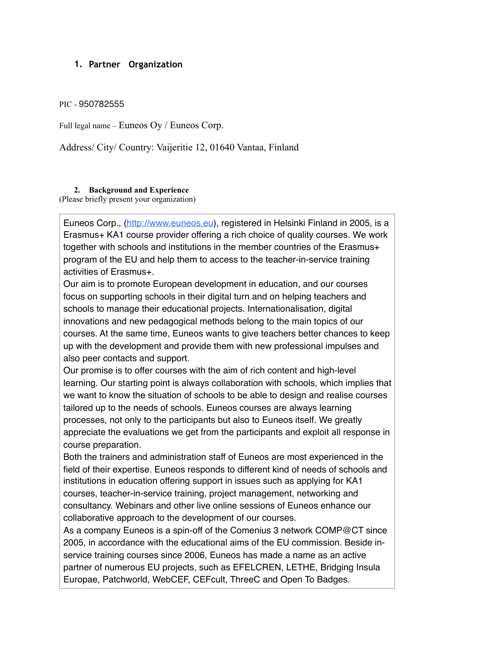## **1. Partner Organization**

## PIC - 950782555

Full legal name – Euneos Oy / Euneos Corp.

Address/ City/ Country: Vaijeritie 12, 01640 Vantaa, Finland

## **2. Background and Experience**

(Please briefly present your organization)

Euneos Corp., [\(http://www.euneos.eu](http://www.euneos.eu/)), registered in Helsinki Finland in 2005, is a Erasmus+ KA1 course provider offering a rich choice of quality courses. We work together with schools and institutions in the member countries of the Erasmus+ program of the EU and help them to access to the teacher-in-service training activities of Erasmus+.

Our aim is to promote European development in education, and our courses focus on supporting schools in their digital turn and on helping teachers and schools to manage their educational projects. Internationalisation, digital innovations and new pedagogical methods belong to the main topics of our courses. At the same time, Euneos wants to give teachers better chances to keep up with the development and provide them with new professional impulses and also peer contacts and support.

Our promise is to offer courses with the aim of rich content and high-level learning. Our starting point is always collaboration with schools, which implies that we want to know the situation of schools to be able to design and realise courses tailored up to the needs of schools. Euneos courses are always learning processes, not only to the participants but also to Euneos itself. We greatly appreciate the evaluations we get from the participants and exploit all response in course preparation.

Both the trainers and administration staff of Euneos are most experienced in the field of their expertise. Euneos responds to different kind of needs of schools and institutions in education offering support in issues such as applying for KA1 courses, teacher-in-service training, project management, networking and consultancy. Webinars and other live online sessions of Euneos enhance our collaborative approach to the development of our courses.

As a company Euneos is a spin-off of the Comenius 3 network COMP@CT since 2005, in accordance with the educational aims of the EU commission. Beside inservice training courses since 2006, Euneos has made a name as an active partner of numerous EU projects, such as EFELCREN, LETHE, Bridging Insula Europae, Patchworld, WebCEF, CEFcult, ThreeC and Open To Badges.